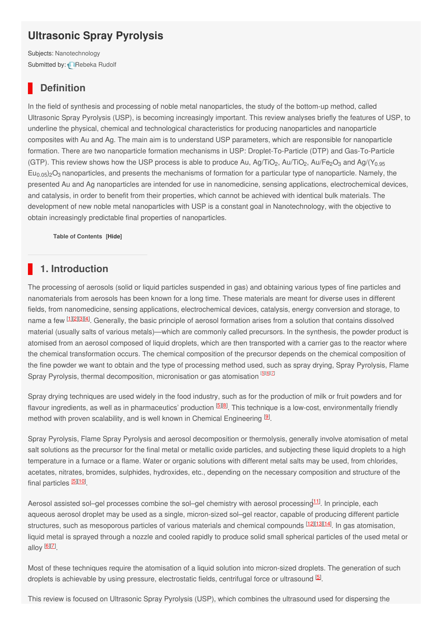# **Ultrasonic Spray Pyrolysis**

Subjects: [Nanotechnology](https://encyclopedia.pub/item/subject/37) Submitted by: [Rebeka](https://sciprofiles.com/profile/745081) Rudolf

#### **Definition**

In the field of synthesis and processing of noble metal nanoparticles, the study of the bottom-up method, called Ultrasonic Spray Pyrolysis (USP), is becoming increasingly important. This review analyses briefly the features of USP, to underline the physical, chemical and technological characteristics for producing nanoparticles and nanoparticle composites with Au and Ag. The main aim is to understand USP parameters, which are responsible for nanoparticle formation. There are two nanoparticle formation mechanisms in USP: Droplet-To-Particle (DTP) and Gas-To-Particle (GTP). This review shows how the USP process is able to produce Au, Ag/TiO<sub>2</sub>, Au/TiO<sub>2</sub>, Au/Fe<sub>2</sub>O<sub>3</sub> and Ag/(Y<sub>0.95</sub>  $Eu_{0.05}$ <sub>2</sub>O<sub>3</sub> nanoparticles, and presents the mechanisms of formation for a particular type of nanoparticle. Namely, the presented Au and Ag nanoparticles are intended for use in nanomedicine, sensing applications, electrochemical devices, and catalysis, in order to benefit from their properties, which cannot be achieved with identical bulk materials. The development of new noble metal nanoparticles with USP is a constant goal in Nanotechnology, with the objective to obtain increasingly predictable final properties of nanoparticles.

**Table of Contents [\[Hide](javascript:void(0))]**

## **1. Introduction**

The processing of aerosols (solid or liquid particles suspended in gas) and obtaining various types of fine particles and nanomaterials from aerosols has been known for a long time. These materials are meant for diverse uses in different fields, from nanomedicine, sensing applications, electrochemical devices, catalysis, energy conversion and storage, to name a few [[1](#page-5-0)<sup>][\[2](#page-5-1)][\[3](#page-5-2)][\[4](#page-5-3)]</sup>. Generally, the basic principle of aerosol formation arises from a solution that contains dissolved material (usually salts of various metals)—which are commonly called precursors. In the synthesis, the powder product is atomised from an aerosol composed of liquid droplets, which are then transported with a carrier gas to the reactor where the chemical transformation occurs. The chemical composition of the precursor depends on the chemical composition of the fine powder we want to obtain and the type of processing method used, such as spray drying, Spray Pyrolysis, Flame Spray Pyrolysis, thermal decomposition, micronisation or gas atomisation <sup>[\[5\]](#page-5-4)[\[6](#page-5-5)][\[7](#page-5-6)]</sup>

Spray drying techniques are used widely in the food industry, such as for the production of milk or fruit powders and for flavour ingredients, as well as in pharmaceutics' production <sup>[\[5](#page-5-4)][\[8](#page-5-7)]</sup>. This technique is a low-cost, environmentally friendly method with proven scalability, and is well known in Chemical Engineering  $[9]$  $[9]$ .

Spray Pyrolysis, Flame Spray Pyrolysis and aerosol decomposition or thermolysis, generally involve atomisation of metal salt solutions as the precursor for the final metal or metallic oxide particles, and subjecting these liquid droplets to a high temperature in a furnace or a flame. Water or organic solutions with different metal salts may be used, from chlorides, acetates, nitrates, bromides, sulphides, hydroxides, etc., depending on the necessary composition and structure of the final particles **[\[](https://www.mdpi.com/1996-1944/13/16/3485/htm#B10-materials-13-03485)[5](#page-5-4)][\[10](#page-5-9)]** 

Aerosol assisted sol–gel processes combine the sol–gel chemistry with aerosol processing [11](#page-5-10)1. In principle, each aqueous aerosol droplet may be used as a single, micron-sized sol–gel reactor, capable of producing different particle structures, such as mesoporous particles of various materials and chemical compounds [\[12](#page-5-11)|[\[13](#page-5-12)|[\[14](#page-5-13)]. In gas atomisation, liquid metal is sprayed through a nozzle and cooled rapidly to produce solid small spherical particles of the used metal or alloy <sup>[<u>[6](#page-5-5)][Z]</u></sup>

Most of these techniques require the atomisation of a liquid solution into micron-sized droplets. The generation of such droplets is achievable by using pressure, electrostatic fields, centrifugal force or ultrasound <sup>[\[5](#page-5-4)]</sup>.

This review is focused on Ultrasonic Spray Pyrolysis (USP), which combines the ultrasound used for dispersing the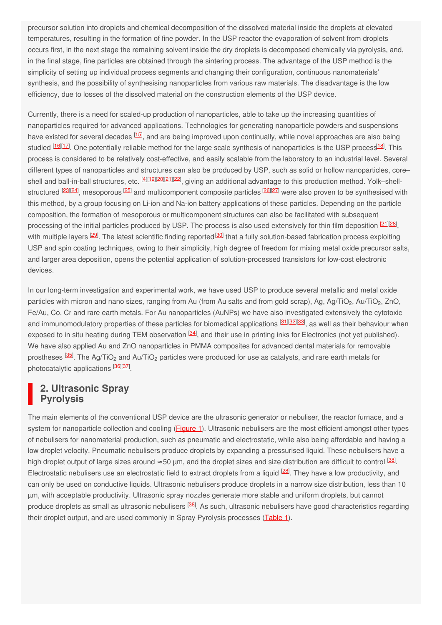precursor solution into droplets and chemical decomposition of the dissolved material inside the droplets at elevated temperatures, resulting in the formation of fine powder. In the USP reactor the evaporation of solvent from droplets occurs first, in the next stage the remaining solvent inside the dry droplets is decomposed chemically via pyrolysis, and, in the final stage, fine particles are obtained through the sintering process. The advantage of the USP method is the simplicity of setting up individual process segments and changing their configuration, continuous nanomaterials' synthesis, and the possibility of synthesising nanoparticles from various raw materials. The disadvantage is the low efficiency, due to losses of the dissolved material on the construction elements of the USP device.

Currently, there is a need for scaled-up production of nanoparticles, able to take up the increasing quantities of nanoparticles required for advanced applications. Technologies for generating nanoparticle powders and suspensions have existed for several decades <sup>[\[15](#page-5-14)]</sup>, and are being improved upon continually, while novel approaches are also being studied <sup>[\[16](#page-5-15)][\[17](#page-5-16)]</sup>. One potentially reliable method for the large scale synthesis of nanoparticles is the USP process<sup>[\[18](#page-5-17)]</sup>. This process is considered to be relatively cost-effective, and easily scalable from the laboratory to an industrial level. Several different types of nanoparticles and structures can also be produced by USP, such as solid or hollow nanoparticles, core– shell and ball-in-ball structures, etc. [\[4](#page-5-3)][\[19](#page-5-18)][[20](#page-5-19)][\[21](#page-5-20)][\[22](#page-5-21)], giving an additional advantage to this production method. Yolk–shell-structured <sup>[\[23](#page-5-22)][\[24](#page-6-0)]</sup>, mesoporous <sup>[\[25](#page-6-1)]</sup> and multicomponent composite particles <sup>[\[26](#page-6-2)][\[27](#page-6-3)]</sup> were also proven to be synthesised with this method, by a group focusing on Li-ion and Na-ion battery applications of these particles. Depending on the particle composition, the formation of mesoporous or multicomponent structures can also be facilitated with subsequent processing of the initial particles produced by USP. The process is also used extensively for thin film deposition <sup>[\[](https://www.mdpi.com/1996-1944/13/16/3485/htm#B28-materials-13-03485)[21](#page-5-20)][\[28](#page-6-4)]</sup>, with multiple layers <sup>[\[29](#page-6-5)]</sup>. The latest scientific finding reported<sup>[\[30](#page-6-6)]</sup> that a fully solution-based fabrication process exploiting USP and spin coating techniques, owing to their simplicity, high degree of freedom for mixing metal oxide precursor salts, and larger area deposition, opens the potential application of solution-processed transistors for low-cost electronic devices.

In our long-term investigation and experimental work, we have used USP to produce several metallic and metal oxide particles with micron and nano sizes, ranging from Au (from Au salts and from gold scrap), Ag, Ag/TiO<sub>2</sub>, Au/TiO<sub>2</sub>, ZnO, Fe/Au, Co, Cr and rare earth metals. For Au nanoparticles (AuNPs) we have also investigated extensively the cytotoxic and immunomodulatory properties of these particles for biomedical applications <sup>[\[31](#page-6-7)][\[32](#page-6-8)][\[33](#page-6-9)]</sup>, as well as their behaviour when exposed to in situ heating during TEM observation <sup>[\[34](#page-6-10)]</sup>, and their use in printing inks for Electronics (not yet published). We have also applied Au and ZnO nanoparticles in PMMA composites for advanced dental materials for removable prostheses  $^{[35]}$  $^{[35]}$  $^{[35]}$ . The Ag/TiO<sub>2</sub> and Au/TiO<sub>2</sub> particles were produced for use as catalysts, and rare earth metals for photocatalytic applications **[\[36](#page-6-12)][\[37](#page-6-13)]** 

## **2. Ultrasonic Spray Pyrolysis**

The main elements of the conventional USP device are the ultrasonic generator or nebuliser, the reactor furnace, and a system for nanoparticle collection and cooling (**Figure 1**). Ultrasonic nebulisers are the most efficient amongst other types of nebulisers for nanomaterial production, such as pneumatic and electrostatic, while also being affordable and having a low droplet velocity. Pneumatic nebulisers produce droplets by expanding a pressurised liquid. These nebulisers have a high droplet output of large sizes around ≈50 μm, and the droplet sizes and size distribution are difficult to control <sup>[\[38](#page-6-14)]</sup>. Electrostatic nebulisers use an electrostatic field to extract droplets from a liquid <sup>[\[28](#page-6-4)]</sup>. They have a low productivity, and can only be used on conductive liquids. Ultrasonic nebulisers produce droplets in a narrow size distribution, less than 10 µm, with acceptable productivity. Ultrasonic spray nozzles generate more stable and uniform droplets, but cannot produce droplets as small as ultrasonic nebulisers <sup>[\[38](#page-6-14)]</sup>. As such, ultrasonic nebulisers have good characteristics regarding their droplet output, and are used commonly in Spray Pyrolysis processes [\(Table](https://www.mdpi.com/1996-1944/13/16/3485/htm#table_body_display_materials-13-03485-t001) 1).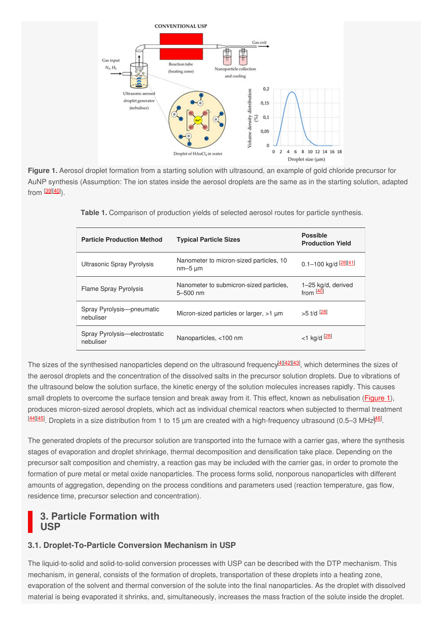

**Figure 1.** Aerosol droplet formation from a starting solution with ultrasound, an example of gold chloride precursor for AuNP synthesis (Assumption: The ion states inside the aerosol droplets are the same as in the starting solution, adapted from <sup>[\[39](#page-6-15)][\[40](#page-6-16)]</sup>).

| <b>Particle Production Method</b>          | <b>Typical Particle Sizes</b>                           | <b>Possible</b><br><b>Production Yield</b> |
|--------------------------------------------|---------------------------------------------------------|--------------------------------------------|
| Ultrasonic Spray Pyrolysis                 | Nanometer to micron-sized particles, 10<br>$nm-5 \mu m$ | 0.1-100 kg/d [28][41]                      |
| <b>Flame Spray Pyrolysis</b>               | Nanometer to submicron-sized particles,<br>$5 - 500$ nm | 1-25 kg/d, derived<br>from $[40]$          |
| Spray Pyrolysis--pneumatic<br>nebuliser    | Micron-sized particles or larger, >1 µm                 | $>5$ t/d $[28]$                            |
| Spray Pyrolysis—electrostatic<br>nebuliser | Nanoparticles, <100 nm                                  | $<$ 1 kg/d $[28]$                          |

**Table 1.** Comparison of production yields of selected aerosol routes for particle synthesis.

The sizes of the synthesised nanoparticles depend on the ultrasound frequency<sup>[\[4](#page-5-3)][\[42](#page-6-18)][\[43](#page-6-19)]</sup>, which determines the sizes of the aerosol droplets and the concentration of the dissolved salts in the precursor solution droplets. Due to vibrations of the ultrasound below the solution surface, the kinetic energy of the solution molecules increases rapidly. This causes small droplets to overcome the surface tension and break away from it. This effect, known as nebulisation [\(Figure](https://www.mdpi.com/1996-1944/13/16/3485/htm#fig_body_display_materials-13-03485-f001) 1), produces micron-sized aerosol droplets, which act as individual chemical reactors when subjected to thermal treatment  $\frac{[44][45]}{2}$  $\frac{[44][45]}{2}$  $\frac{[44][45]}{2}$  $\frac{[44][45]}{2}$  $\frac{[44][45]}{2}$ . Droplets in a size distribution from 1 to 15 µm are created with a high-frequency ultrasound (0.5–3 MHz $\frac{[46]}{2}$  $\frac{[46]}{2}$  $\frac{[46]}{2}$ .

The generated droplets of the precursor solution are transported into the furnace with a carrier gas, where the synthesis stages of evaporation and droplet shrinkage, thermal decomposition and densification take place. Depending on the precursor salt composition and chemistry, a reaction gas may be included with the carrier gas, in order to promote the formation of pure metal or metal oxide nanoparticles. The process forms solid, nonporous nanoparticles with different amounts of aggregation, depending on the process conditions and parameters used (reaction temperature, gas flow, residence time, precursor selection and concentration).

## **3. Particle Formation with USP**

#### **3.1. Droplet-To-Particle Conversion Mechanism in USP**

The liquid-to-solid and solid-to-solid conversion processes with USP can be described with the DTP mechanism. This mechanism, in general, consists of the formation of droplets, transportation of these droplets into a heating zone, evaporation of the solvent and thermal conversion of the solute into the final nanoparticles. As the droplet with dissolved material is being evaporated it shrinks, and, simultaneously, increases the mass fraction of the solute inside the droplet.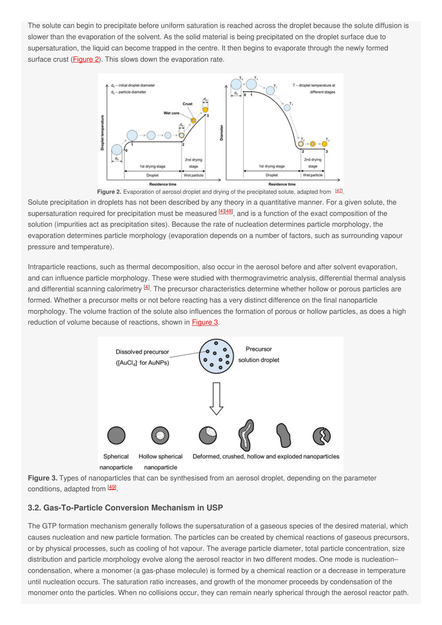The solute can begin to precipitate before uniform saturation is reached across the droplet because the solute diffusion is slower than the evaporation of the solvent. As the solid material is being precipitated on the droplet surface due to supersaturation, the liquid can become trapped in the centre. It then begins to evaporate through the newly formed surface crust (**Figure 2**). This slows down the evaporation rate.



Solute precipitation in droplets has not been described by any theory in a quantitative manner. For a given solute, the supersaturation required for precipitation must be measured [\[4](#page-5-3)][\[48](#page-6-24)], and is a function of the exact composition of the solution (impurities act as precipitation sites). Because the rate of nucleation determines particle morphology, the evaporation determines particle morphology (evaporation depends on a number of factors, such as surrounding vapour pressure and temperature).

Intraparticle reactions, such as thermal decomposition, also occur in the aerosol before and after solvent evaporation, and can influence particle morphology. These were studied with thermogravimetric analysis, differential thermal analysis and differential scanning calorimetry  $[4]$  $[4]$ . The precursor characteristics determine whether hollow or porous particles are formed. Whether a precursor melts or not before reacting has a very distinct difference on the final nanoparticle morphology. The volume fraction of the solute also influences the formation of porous or hollow particles, as does a high reduction of volume because of reactions, shown in [Figure](https://www.mdpi.com/1996-1944/13/16/3485/htm#fig_body_display_materials-13-03485-f005) 3.



**Figure 3.** Types of nanoparticles that can be synthesised from an aerosol droplet, depending on the parameter conditions, adapted from [\[49](#page-6-25)].

#### **3.2. Gas-To-Particle Conversion Mechanism in USP**

The GTP formation mechanism generally follows the supersaturation of a gaseous species of the desired material, which causes nucleation and new particle formation. The particles can be created by chemical reactions of gaseous precursors, or by physical processes, such as cooling of hot vapour. The average particle diameter, total particle concentration, size distribution and particle morphology evolve along the aerosol reactor in two different modes. One mode is nucleation– condensation, where a monomer (a gas-phase molecule) is formed by a chemical reaction or a decrease in temperature until nucleation occurs. The saturation ratio increases, and growth of the monomer proceeds by condensation of the monomer onto the particles. When no collisions occur, they can remain nearly spherical through the aerosol reactor path.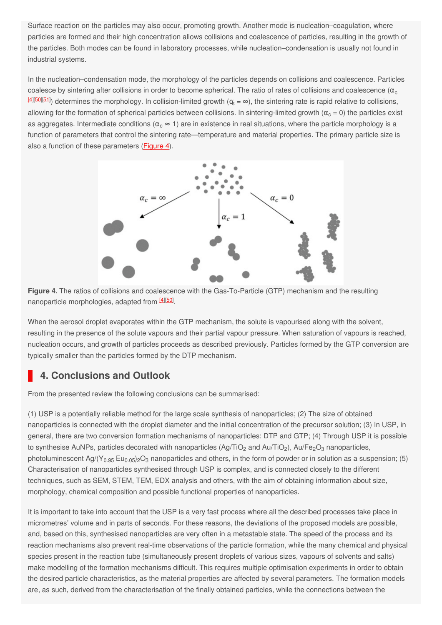Surface reaction on the particles may also occur, promoting growth. Another mode is nucleation–coagulation, where particles are formed and their high concentration allows collisions and coalescence of particles, resulting in the growth of the particles. Both modes can be found in laboratory processes, while nucleation–condensation is usually not found in industrial systems.

In the nucleation–condensation mode, the morphology of the particles depends on collisions and coalescence. Particles coalesce by sintering after collisions in order to become spherical. The ratio of rates of collisions and coalescence ( $\alpha_{\rm c}$ <u>[\[](https://www.mdpi.com/1996-1944/13/16/3485/htm#B56-materials-13-03485)[4](#page-5-3)][\[50](#page-6-26)][\[51](#page-6-27)</u>]) determines the morphology. In collision-limited growth (α $_6 = \infty$ ), the sintering rate is rapid relative to collisions, allowing for the formation of spherical particles between collisions. In sintering-limited growth ( $\alpha_c$  = 0) the particles exist as aggregates. Intermediate conditions ( $\alpha_{\rm c}\approx$  1) are in existence in real situations, where the particle morphology is a function of parameters that control the sintering rate—temperature and material properties. The primary particle size is also a function of these parameters [\(Figure](https://www.mdpi.com/1996-1944/13/16/3485/htm#fig_body_display_materials-13-03485-f006) 4).





When the aerosol droplet evaporates within the GTP mechanism, the solute is vapourised along with the solvent, resulting in the presence of the solute vapours and their partial vapour pressure. When saturation of vapours is reached, nucleation occurs, and growth of particles proceeds as described previously. Particles formed by the GTP conversion are typically smaller than the particles formed by the DTP mechanism.

#### **4. Conclusions and Outlook**

From the presented review the following conclusions can be summarised:

(1) USP is a potentially reliable method for the large scale synthesis of nanoparticles; (2) The size of obtained nanoparticles is connected with the droplet diameter and the initial concentration of the precursor solution; (3) In USP, in general, there are two conversion formation mechanisms of nanoparticles: DTP and GTP; (4) Through USP it is possible to synthesise AuNPs, particles decorated with nanoparticles (Ag/TiO<sub>2</sub> and Au/TiO<sub>2</sub>), Au/Fe<sub>2</sub>O<sub>3</sub> nanoparticles, photoluminescent Ag/(Y $_{0.95}$  Eu $_{0.05}$ )2O $_3$  nanoparticles and others, in the form of powder or in solution as a suspension; (5) Characterisation of nanoparticles synthesised through USP is complex, and is connected closely to the different techniques, such as SEM, STEM, TEM, EDX analysis and others, with the aim of obtaining information about size, morphology, chemical composition and possible functional properties of nanoparticles.

It is important to take into account that the USP is a very fast process where all the described processes take place in micrometres' volume and in parts of seconds. For these reasons, the deviations of the proposed models are possible, and, based on this, synthesised nanoparticles are very often in a metastable state. The speed of the process and its reaction mechanisms also prevent real-time observations of the particle formation, while the many chemical and physical species present in the reaction tube (simultaneously present droplets of various sizes, vapours of solvents and salts) make modelling of the formation mechanisms difficult. This requires multiple optimisation experiments in order to obtain the desired particle characteristics, as the material properties are affected by several parameters. The formation models are, as such, derived from the characterisation of the finally obtained particles, while the connections between the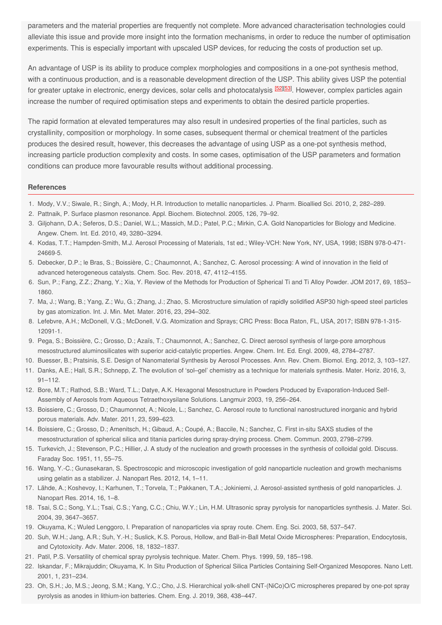parameters and the material properties are frequently not complete. More advanced characterisation technologies could alleviate this issue and provide more insight into the formation mechanisms, in order to reduce the number of optimisation experiments. This is especially important with upscaled USP devices, for reducing the costs of production set up.

An advantage of USP is its ability to produce complex morphologies and compositions in a one-pot synthesis method, with a continuous production, and is a reasonable development direction of the USP. This ability gives USP the potential for greater uptake in electronic, energy devices, solar cells and photocatalysis <sup>[\[](https://www.mdpi.com/1996-1944/13/16/3485/htm#B52-materials-13-03485)[52](#page-6-28)][\[53](#page-7-0)]</sup>. However, complex particles again increase the number of required optimisation steps and experiments to obtain the desired particle properties.

The rapid formation at elevated temperatures may also result in undesired properties of the final particles, such as crystallinity, composition or morphology. In some cases, subsequent thermal or chemical treatment of the particles produces the desired result, however, this decreases the advantage of using USP as a one-pot synthesis method, increasing particle production complexity and costs. In some cases, optimisation of the USP parameters and formation conditions can produce more favourable results without additional processing.

#### <span id="page-5-1"></span><span id="page-5-0"></span>**References**

- <span id="page-5-2"></span>1. Mody, V.V.; Siwale, R.; Singh, A.; Mody, H.R. Introduction to metallic nanoparticles. J. Pharm. Bioallied Sci. 2010, 2, 282–289.
- 2. Pattnaik, P. Surface plasmon resonance. Appl. Biochem. Biotechnol. 2005, 126, 79–92.
- <span id="page-5-3"></span>3. Giljohann, D.A.; Seferos, D.S.; Daniel, W.L.; Massich, M.D.; Patel, P.C.; Mirkin, C.A. Gold Nanoparticles for Biology and Medicine. Angew. Chem. Int. Ed. 2010, 49, 3280–3294.
- <span id="page-5-4"></span>4. Kodas, T.T.; Hampden-Smith, M.J. Aerosol Processing of Materials, 1st ed.; Wiley-VCH: New York, NY, USA, 1998; ISBN 978-0-471- 24669-5.
- <span id="page-5-5"></span>5. Debecker, D.P.; le Bras, S.; Boissière, C.; Chaumonnot, A.; Sanchez, C. Aerosol processing: A wind of innovation in the field of advanced heterogeneous catalysts. Chem. Soc. Rev. 2018, 47, 4112–4155.
- <span id="page-5-6"></span>6. Sun, P.; Fang, Z.Z.; Zhang, Y.; Xia, Y. Review of the Methods for Production of Spherical Ti and Ti Alloy Powder. JOM 2017, 69, 1853– 1860.
- <span id="page-5-7"></span>7. Ma, J.; Wang, B.; Yang, Z.; Wu, G.; Zhang, J.; Zhao, S. Microstructure simulation of rapidly solidified ASP30 high-speed steel particles by gas atomization. Int. J. Min. Met. Mater. 2016, 23, 294–302.
- <span id="page-5-8"></span>8. Lefebvre, A.H.; McDonell, V.G.; McDonell, V.G. Atomization and Sprays; CRC Press: Boca Raton, FL, USA, 2017; ISBN 978-1-315- 12091-1.
- <span id="page-5-10"></span><span id="page-5-9"></span>9. Pega, S.; Boissière, C.; Grosso, D.; Azaïs, T.; Chaumonnot, A.; Sanchez, C. Direct aerosol synthesis of large-pore amorphous mesostructured aluminosilicates with superior acid-catalytic properties. Angew. Chem. Int. Ed. Engl. 2009, 48, 2784–2787.
- 10. Buesser, B.; Pratsinis, S.E. Design of Nanomaterial Synthesis by Aerosol Processes. Ann. Rev. Chem. Biomol. Eng. 2012, 3, 103–127.
- <span id="page-5-11"></span>11. Danks, A.E.; Hall, S.R.; Schnepp, Z. The evolution of 'sol–gel' chemistry as a technique for materials synthesis. Mater. Horiz. 2016, 3, 91–112.
- <span id="page-5-12"></span>12. Bore, M.T.; Rathod, S.B.; Ward, T.L.; Datye, A.K. Hexagonal Mesostructure in Powders Produced by Evaporation-Induced Self-Assembly of Aerosols from Aqueous Tetraethoxysilane Solutions. Langmuir 2003, 19, 256–264.
- <span id="page-5-13"></span>13. Boissiere, C.; Grosso, D.; Chaumonnot, A.; Nicole, L.; Sanchez, C. Aerosol route to functional nanostructured inorganic and hybrid porous materials. Adv. Mater. 2011, 23, 599–623.
- <span id="page-5-14"></span>14. Boissiere, C.; Grosso, D.; Amenitsch, H.; Gibaud, A.; Coupé, A.; Baccile, N.; Sanchez, C. First in-situ SAXS studies of the mesostructuration of spherical silica and titania particles during spray-drying process. Chem. Commun. 2003, 2798–2799.
- <span id="page-5-15"></span>15. Turkevich, J.; Stevenson, P.C.; Hillier, J. A study of the nucleation and growth processes in the synthesis of colloidal gold. Discuss. Faraday Soc. 1951, 11, 55–75.
- <span id="page-5-16"></span>16. Wang, Y.-C.; Gunasekaran, S. Spectroscopic and microscopic investigation of gold nanoparticle nucleation and growth mechanisms using gelatin as a stabilizer. J. Nanopart Res. 2012, 14, 1–11.
- <span id="page-5-17"></span>17. Lähde, A.; Koshevoy, I.; Karhunen, T.; Torvela, T.; Pakkanen, T.A.; Jokiniemi, J. Aerosol-assisted synthesis of gold nanoparticles. J. Nanopart Res. 2014, 16, 1–8.
- <span id="page-5-19"></span><span id="page-5-18"></span>18. Tsai, S.C.; Song, Y.L.; Tsai, C.S.; Yang, C.C.; Chiu, W.Y.; Lin, H.M. Ultrasonic spray pyrolysis for nanoparticles synthesis. J. Mater. Sci. 2004, 39, 3647–3657.
- 19. Okuyama, K.; Wuled Lenggoro, I. Preparation of nanoparticles via spray route. Chem. Eng. Sci. 2003, 58, 537–547.
- <span id="page-5-21"></span><span id="page-5-20"></span>20. Suh, W.H.; Jang, A.R.; Suh, Y.-H.; Suslick, K.S. Porous, Hollow, and Ball-in-Ball Metal Oxide Microspheres: Preparation, Endocytosis, and Cytotoxicity. Adv. Mater. 2006, 18, 1832–1837.
- 21. Patil, P.S. Versatility of chemical spray pyrolysis technique. Mater. Chem. Phys. 1999, 59, 185–198.
- <span id="page-5-22"></span>22. Iskandar, F.; Mikrajuddin; Okuyama, K. In Situ Production of Spherical Silica Particles Containing Self-Organized Mesopores. Nano Lett. 2001, 1, 231–234.
- 23. Oh, S.H.; Jo, M.S.; Jeong, S.M.; Kang, Y.C.; Cho, J.S. Hierarchical yolk-shell CNT-(NiCo)O/C microspheres prepared by one-pot spray pyrolysis as anodes in lithium-ion batteries. Chem. Eng. J. 2019, 368, 438–447.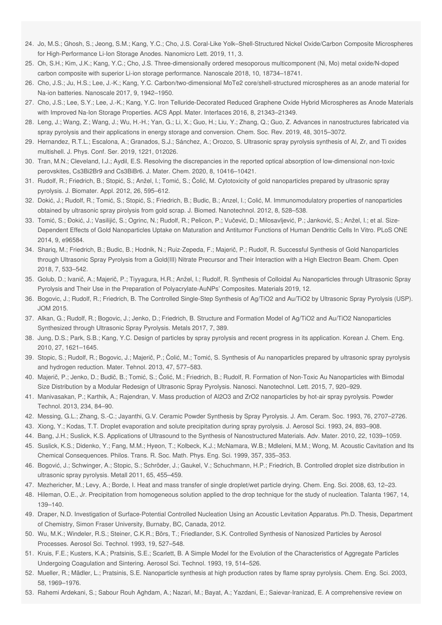- <span id="page-6-1"></span><span id="page-6-0"></span>24. Jo, M.S.; Ghosh, S.; Jeong, S.M.; Kang, Y.C.; Cho, J.S. Coral-Like Yolk–Shell-Structured Nickel Oxide/Carbon Composite Microspheres for High-Performance Li-Ion Storage Anodes. Nanomicro Lett. 2019, 11, 3.
- <span id="page-6-2"></span>25. Oh, S.H.; Kim, J.K.; Kang, Y.C.; Cho, J.S. Three-dimensionally ordered mesoporous multicomponent (Ni, Mo) metal oxide/N-doped carbon composite with superior Li-ion storage performance. Nanoscale 2018, 10, 18734–18741.
- <span id="page-6-3"></span>26. Cho, J.S.; Ju, H.S.; Lee, J.-K.; Kang, Y.C. Carbon/two-dimensional MoTe2 core/shell-structured microspheres as an anode material for Na-ion batteries. Nanoscale 2017, 9, 1942–1950.
- <span id="page-6-4"></span>27. Cho, J.S.; Lee, S.Y.; Lee, J.-K.; Kang, Y.C. Iron Telluride-Decorated Reduced Graphene Oxide Hybrid Microspheres as Anode Materials with Improved Na-Ion Storage Properties. ACS Appl. Mater. Interfaces 2016, 8, 21343–21349.
- <span id="page-6-5"></span>28. Leng, J.; Wang, Z.; Wang, J.; Wu, H.-H.; Yan, G.; Li, X.; Guo, H.; Liu, Y.; Zhang, Q.; Guo, Z. Advances in nanostructures fabricated via spray pyrolysis and their applications in energy storage and conversion. Chem. Soc. Rev. 2019, 48, 3015–3072.
- <span id="page-6-6"></span>29. Hernandez, R.T.L.; Escalona, A.; Granados, S.J.; Sánchez, A.; Orozco, S. Ultrasonic spray pyrolysis synthesis of Al, Zr, and Ti oxides multishell. J. Phys. Conf. Ser. 2019, 1221, 012026.
- <span id="page-6-7"></span>30. Tran, M.N.; Cleveland, I.J.; Aydil, E.S. Resolving the discrepancies in the reported optical absorption of low-dimensional non-toxic perovskites, Cs3Bi2Br9 and Cs3BiBr6. J. Mater. Chem. 2020, 8, 10416–10421.
- <span id="page-6-8"></span>31. Rudolf, R.; Friedrich, B.; Stopić, S.; Anžel, I.; Tomić, S.; Čolić, M. Cytotoxicity of gold nanoparticles prepared by ultrasonic spray pyrolysis. J. Biomater. Appl. 2012, 26, 595–612.
- <span id="page-6-9"></span>32. Dokić, J.; Rudolf, R.; Tomić, S.; Stopić, S.; Friedrich, B.; Budic, B.; Anzel, I.; Colić, M. Immunomodulatory properties of nanoparticles obtained by ultrasonic spray pirolysis from gold scrap. J. Biomed. Nanotechnol. 2012, 8, 528–538.
- <span id="page-6-10"></span>33. Tomić, S.; Đokić, J.; Vasilijić, S.; Ogrinc, N.; Rudolf, R.; Pelicon, P.; Vučević, D.; Milosavljević, P.; Janković, S.; Anžel, I.; et al. Size-Dependent Effects of Gold Nanoparticles Uptake on Maturation and Antitumor Functions of Human Dendritic Cells In Vitro. PLoS ONE 2014, 9, e96584.
- <span id="page-6-11"></span>34. Shariq, M.; Friedrich, B.; Budic, B.; Hodnik, N.; Ruiz-Zepeda, F.; Majerič, P.; Rudolf, R. Successful Synthesis of Gold Nanoparticles through Ultrasonic Spray Pyrolysis from a Gold(III) Nitrate Precursor and Their Interaction with a High Electron Beam. Chem. Open 2018, 7, 533–542.
- <span id="page-6-12"></span>35. Golub, D.; Ivanič, A.; Majerič, P.; Tiyyagura, H.R.; Anžel, I.; Rudolf, R. Synthesis of Colloidal Au Nanoparticles through Ultrasonic Spray Pyrolysis and Their Use in the Preparation of Polyacrylate-AuNPs' Composites. Materials 2019, 12.
- <span id="page-6-13"></span>36. Bogovic, J.; Rudolf, R.; Friedrich, B. The Controlled Single-Step Synthesis of Ag/TiO2 and Au/TiO2 by Ultrasonic Spray Pyrolysis (USP). JOM 2015.
- <span id="page-6-14"></span>37. Alkan, G.; Rudolf, R.; Bogovic, J.; Jenko, D.; Friedrich, B. Structure and Formation Model of Ag/TiO2 and Au/TiO2 Nanoparticles Synthesized through Ultrasonic Spray Pyrolysis. Metals 2017, 7, 389.
- <span id="page-6-15"></span>38. Jung, D.S.; Park, S.B.; Kang, Y.C. Design of particles by spray pyrolysis and recent progress in its application. Korean J. Chem. Eng. 2010, 27, 1621–1645.
- <span id="page-6-16"></span>39. Stopic, S.; Rudolf, R.; Bogovic, J.; Majerič, P.; Čolić, M.; Tomić, S. Synthesis of Au nanoparticles prepared by ultrasonic spray pyrolysis and hydrogen reduction. Mater. Tehnol. 2013, 47, 577–583.
- <span id="page-6-17"></span>40. Majerič, P.; Jenko, D.; Budič, B.; Tomić, S.; Čolić, M.; Friedrich, B.; Rudolf, R. Formation of Non-Toxic Au Nanoparticles with Bimodal Size Distribution by a Modular Redesign of Ultrasonic Spray Pyrolysis. Nanosci. Nanotechnol. Lett. 2015, 7, 920–929.
- <span id="page-6-18"></span>41. Manivasakan, P.; Karthik, A.; Rajendran, V. Mass production of Al2O3 and ZrO2 nanoparticles by hot-air spray pyrolysis. Powder Technol. 2013, 234, 84–90.
- <span id="page-6-20"></span><span id="page-6-19"></span>42. Messing, G.L.; Zhang, S.-C.; Jayanthi, G.V. Ceramic Powder Synthesis by Spray Pyrolysis. J. Am. Ceram. Soc. 1993, 76, 2707–2726.
- <span id="page-6-21"></span>43. Xiong, Y.; Kodas, T.T. Droplet evaporation and solute precipitation during spray pyrolysis. J. Aerosol Sci. 1993, 24, 893–908.
- 44. Bang, J.H.; Suslick, K.S. Applications of Ultrasound to the Synthesis of Nanostructured Materials. Adv. Mater. 2010, 22, 1039–1059.
- <span id="page-6-22"></span>45. Suslick, K.S.; Didenko, Y.; Fang, M.M.; Hyeon, T.; Kolbeck, K.J.; McNamara, W.B.; Mdleleni, M.M.; Wong, M. Acoustic Cavitation and Its Chemical Consequences. Philos. Trans. R. Soc. Math. Phys. Eng. Sci. 1999, 357, 335–353.
- <span id="page-6-24"></span><span id="page-6-23"></span>46. Bogović, J.; Schwinger, A.; Stopic, S.; Schröder, J.; Gaukel, V.; Schuchmann, H.P.; Friedrich, B. Controlled droplet size distribution in ultrasonic spray pyrolysis. Metall 2011, 65, 455–459.
- 47. Mezhericher, M.; Levy, A.; Borde, I. Heat and mass transfer of single droplet/wet particle drying. Chem. Eng. Sci. 2008, 63, 12–23.
- <span id="page-6-25"></span>48. Hileman, O.E., Jr. Precipitation from homogeneous solution applied to the drop technique for the study of nucleation. Talanta 1967, 14, 139–140.
- <span id="page-6-26"></span>49. Draper, N.D. Investigation of Surface-Potential Controlled Nucleation Using an Acoustic Levitation Apparatus. Ph.D. Thesis, Department of Chemistry, Simon Fraser University, Burnaby, BC, Canada, 2012.
- <span id="page-6-27"></span>50. Wu, M.K.; Windeler, R.S.; Steiner, C.K.R.; Börs, T.; Friedlander, S.K. Controlled Synthesis of Nanosized Particles by Aerosol Processes. Aerosol Sci. Technol. 1993, 19, 527–548.
- <span id="page-6-28"></span>51. Kruis, F.E.; Kusters, K.A.; Pratsinis, S.E.; Scarlett, B. A Simple Model for the Evolution of the Characteristics of Aggregate Particles Undergoing Coagulation and Sintering. Aerosol Sci. Technol. 1993, 19, 514–526.
- 52. Mueller, R.; Mädler, L.; Pratsinis, S.E. Nanoparticle synthesis at high production rates by flame spray pyrolysis. Chem. Eng. Sci. 2003, 58, 1969–1976.
- 53. Rahemi Ardekani, S.; Sabour Rouh Aghdam, A.; Nazari, M.; Bayat, A.; Yazdani, E.; Saievar-Iranizad, E. A comprehensive review on